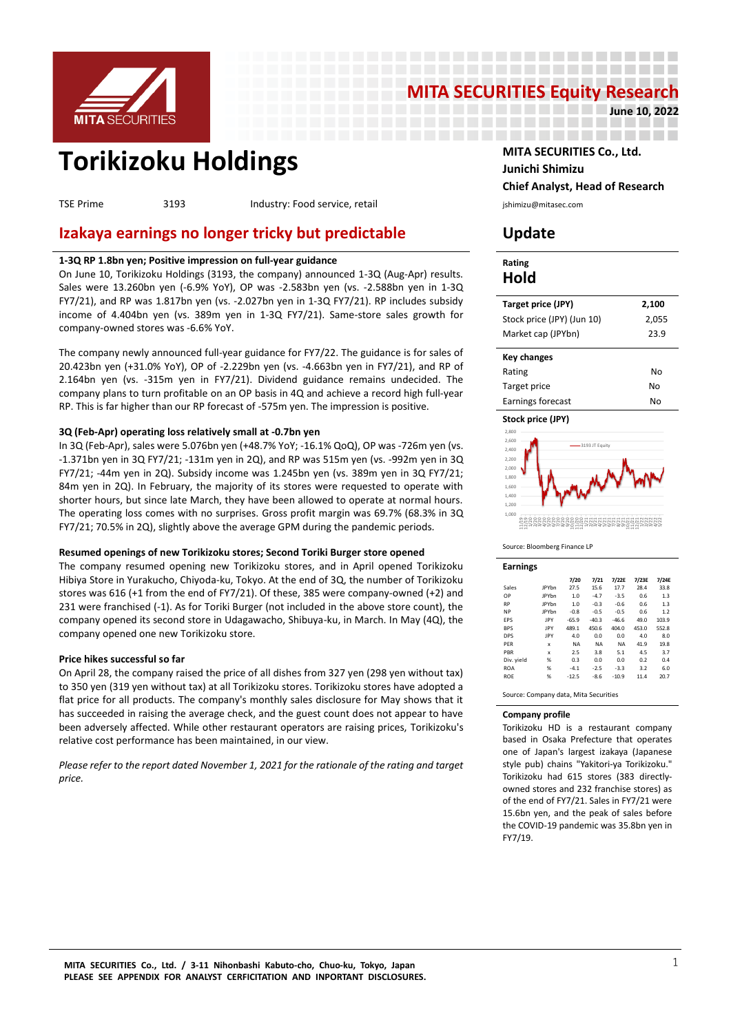

# **MITA SECURITIES Equity Research**<br>1922ء 19 والدا

--------------------

-----------------

**June 10, 2022**

# **Torikizoku Holdings MITA SECURITIES Co., Ltd.**

TSE Prime 3193 Industry: Food service, retail interventional primizu@mitasec.com

# **Izakaya earnings no longer tricky but predictable Update**

# **1-3Q RP 1.8bn yen; Positive impression on full-year guidance**

On June 10, Torikizoku Holdings (3193, the company) announced 1-3Q (Aug-Apr) results. Sales were 13.260bn yen (-6.9% YoY), OP was -2.583bn yen (vs. -2.588bn yen in 1-3Q FY7/21), and RP was 1.817bn yen (vs. -2.027bn yen in 1-3Q FY7/21). RP includes subsidy income of 4.404bn yen (vs. 389m yen in 1-3Q FY7/21). Same-store sales growth for company-owned stores was -6.6% YoY.

The company newly announced full-year guidance for FY7/22. The guidance is for sales of 20.423bn yen (+31.0% YoY), OP of -2.229bn yen (vs. -4.663bn yen in FY7/21), and RP of 2.164bn yen (vs. -315m yen in FY7/21). Dividend guidance remains undecided. The company plans to turn profitable on an OP basis in 4Q and achieve a record high full-year RP. This is far higher than our RP forecast of -575m yen. The impression is positive.

# **3Q (Feb-Apr) operating loss relatively small at -0.7bn yen**

In 3Q (Feb-Apr), sales were 5.076bn yen (+48.7% YoY; -16.1% QoQ), OP was -726m yen (vs. -1.371bn yen in 3Q FY7/21; -131m yen in 2Q), and RP was 515m yen (vs. -992m yen in 3Q FY7/21; -44m yen in 2Q). Subsidy income was 1.245bn yen (vs. 389m yen in 3Q FY7/21; 84m yen in 2Q). In February, the majority of its stores were requested to operate with shorter hours, but since late March, they have been allowed to operate at normal hours. The operating loss comes with no surprises. Gross profit margin was 69.7% (68.3% in 3Q FY7/21; 70.5% in 2Q), slightly above the average GPM during the pandemic periods.

# **Resumed openings of new Torikizoku stores; Second Toriki Burger store opened**

The company resumed opening new Torikizoku stores, and in April opened Torikizoku Hibiya Store in Yurakucho, Chiyoda-ku, Tokyo. At the end of 3Q, the number of Torikizoku stores was 616 (+1 from the end of FY7/21). Of these, 385 were company-owned (+2) and 231 were franchised (-1). As for Toriki Burger (not included in the above store count), the company opened its second store in Udagawacho, Shibuya-ku, in March. In May (4Q), the company opened one new Torikizoku store.

# **Price hikes successful so far**

On April 28, the company raised the price of all dishes from 327 yen (298 yen without tax) to 350 yen (319 yen without tax) at all Torikizoku stores. Torikizoku stores have adopted a flat price for all products. The company's monthly sales disclosure for May shows that it has succeeded in raising the average check, and the guest count does not appear to have been adversely affected. While other restaurant operators are raising prices, Torikizoku's relative cost performance has been maintained, in our view.

*Please refer to the report dated November 1, 2021 for the rationale of the rating and target price.*

**Junichi Shimizu Chief Analyst, Head of Research**

# **Rating Hold**

\_\_\_\_\_\_\_\_\_\_\_\_\_\_\_\_\_\_\_\_

| Target price (JPY)         | 2,100 |
|----------------------------|-------|
| Stock price (JPY) (Jun 10) | 2,055 |
| Market cap (JPYbn)         | 23.9  |
|                            |       |

| Key changes       |    |
|-------------------|----|
| Rating            | N٥ |
| Target price      | No |
| Earnings forecast | N٥ |



Source: Bloomberg Finance LP

| <b>Earnings</b> |              |           |           |           |       |       |
|-----------------|--------------|-----------|-----------|-----------|-------|-------|
|                 |              | 7/20      | 7/21      | 7/22E     | 7/23E | 7/24E |
| Sales           | <b>JPYbn</b> | 27.5      | 15.6      | 17.7      | 28.4  | 33.8  |
| OP              | <b>JPYbn</b> | 1.0       | $-4.7$    | $-3.5$    | 0.6   | 1.3   |
| <b>RP</b>       | <b>IPYhn</b> | 1.0       | $-0.3$    | $-0.6$    | 0.6   | 1.3   |
| <b>NP</b>       | <b>IPYhn</b> | $-0.8$    | $-0.5$    | $-0.5$    | 0.6   | 1.2   |
| EPS             | <b>IPY</b>   | $-65.9$   | $-40.3$   | $-46.6$   | 49.0  | 103.9 |
| <b>BPS</b>      | <b>IPY</b>   | 489.1     | 450.6     | 404.0     | 453.0 | 552.8 |
| <b>DPS</b>      | <b>IPY</b>   | 4.0       | 0.0       | 0.0       | 4.0   | 8.0   |
| PFR             | x            | <b>NA</b> | <b>NA</b> | <b>NA</b> | 41.9  | 19.8  |
| PBR             | $\mathbf x$  | 2.5       | 3.8       | 5.1       | 4.5   | 3.7   |
| Div. yield      | %            | 0.3       | 0.0       | 0.0       | 0.2   | 0.4   |
| <b>ROA</b>      | %            | $-4.1$    | $-2.5$    | $-3.3$    | 3.2   | 6.0   |
| <b>ROE</b>      | %            | $-12.5$   | $-8.6$    | $-10.9$   | 11.4  | 20.7  |
|                 |              |           |           |           |       |       |

Source: Company data, Mita Securities

## **Company profile**

Torikizoku HD is a restaurant company based in Osaka Prefecture that operates one of Japan's largest izakaya (Japanese style pub) chains "Yakitori-ya Torikizoku." Torikizoku had 615 stores (383 directlyowned stores and 232 franchise stores) as of the end of FY7/21. Sales in FY7/21 were 15.6bn yen, and the peak of sales before the COVID-19 pandemic was 35.8bn yen in FY7/19.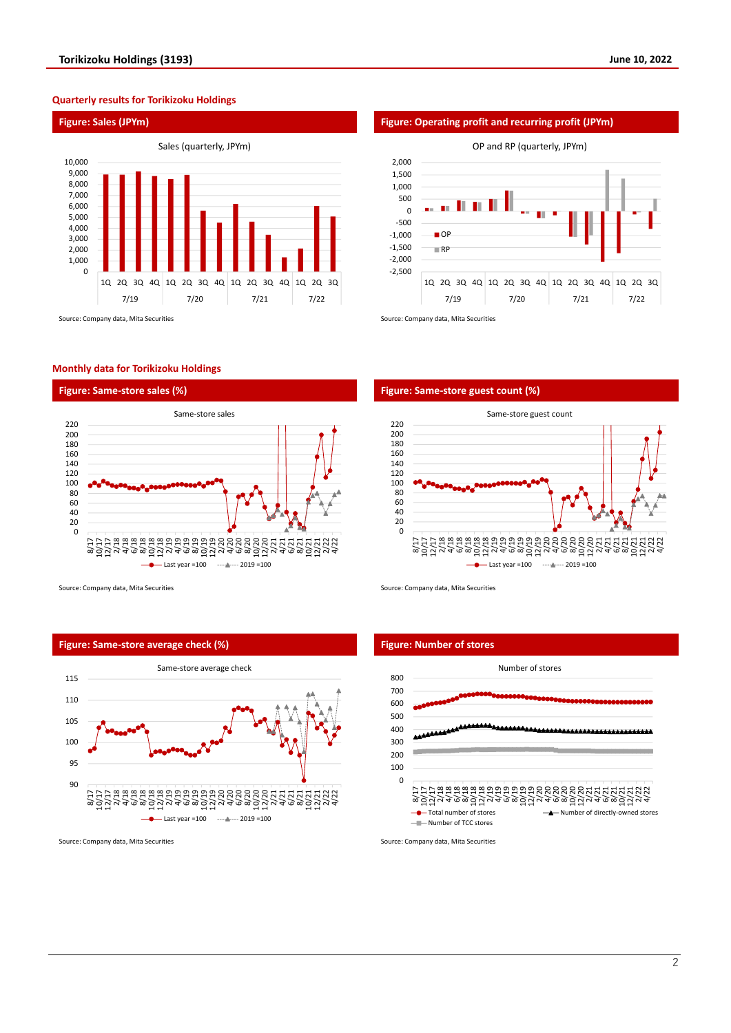# **Quarterly results for Torikizoku Holdings**



# **Monthly data for Torikizoku Holdings**





Source: Company data, Mita Securities Source: Company data, Mita Securities Source: Company data, Mita Securities

# **Figure: Same-store average check (%) Figure: Number of stores**





# **Figure: Same-store sales (%) Figure: Same-store guest count (%)**





Source: Company data, Mita Securities Source: Company data, Mita Securities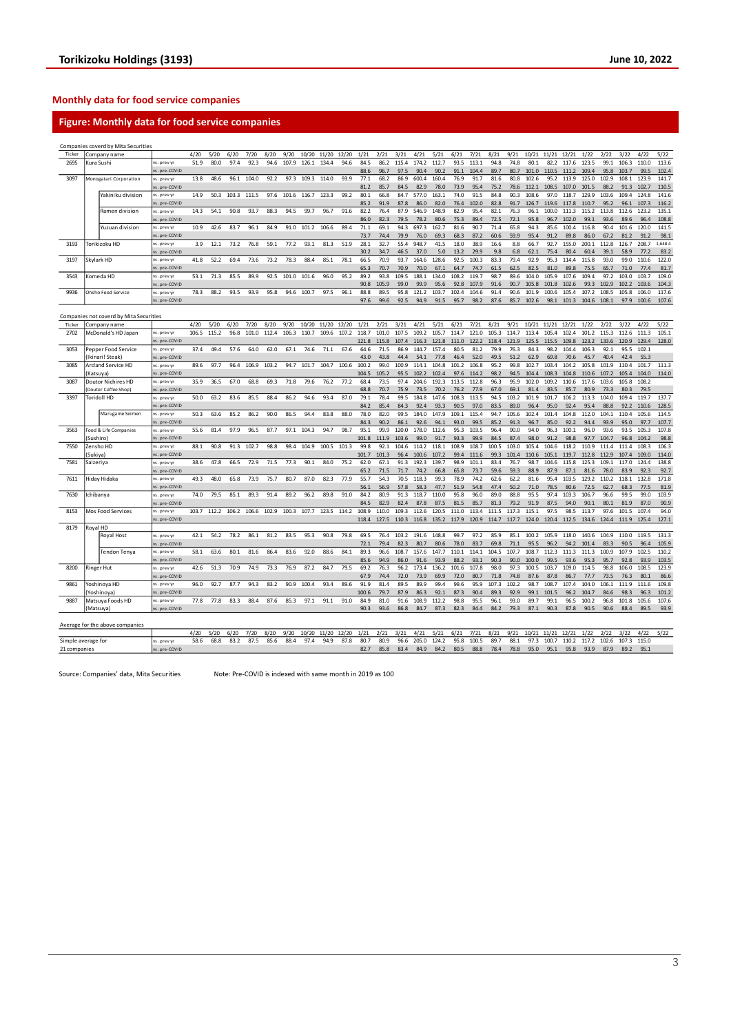# **Monthly data for food service companies**

# **Figure: Monthly data for food service companies**

|                    |            | Companies coverd by Mita Securities     |                            |       |       |       |       |       |       |       |       |       |              |              |              |               |               |               |               |              |               |               |               |                |                   |               |               |                |                 |
|--------------------|------------|-----------------------------------------|----------------------------|-------|-------|-------|-------|-------|-------|-------|-------|-------|--------------|--------------|--------------|---------------|---------------|---------------|---------------|--------------|---------------|---------------|---------------|----------------|-------------------|---------------|---------------|----------------|-----------------|
| Ticker             |            | Company name                            |                            | 4/20  | 5/20  | 6/20  | 7/20  | 8/20  | 9/20  | 10/20 | 11/20 | 12/20 | 1/21         | 2/21         | 3/21         | 4/21          | 5/21          | 6/21          | 7/21          | 8/21         | 9/21          | 10/21         | 11/21         | 12/21          | 1/22              | 2/22          | 3/22          | 4/22           | 5/22            |
| 2695               | Kura Sushi |                                         | s. prev v                  | 51.9  | 80.0  | 97.4  | 92.3  | 94.6  | 107.9 | 126.1 | 134.4 | 94.6  | 84.5         | 86.2         | 115.4        | 174.2         | 112.7         | 93.5          | 113.1         | 94.8         | 74.8          | 80.1          | 82.2          | 117.6          | 123.5             | 99.1          | 106.3         | 110.0          | 113.6           |
|                    |            |                                         | pre-COVID                  |       |       |       |       |       |       |       |       |       | 88.6         | 96.7         | 97.5         | 90.4          | 90.2          | 91.1          | 104.4         | 89.7         | 80.7          | 101.0         | 110.5         | 111.2          | 109.4             | 95.8          | 103.7         | 99.5           | 102.4           |
| 3097               |            | Monogatari Corporation                  | s. prev y                  | 13.8  | 48.6  | 96.1  | 104.0 | 92.2  | 97.3  | 109.3 | 114.0 | 93.9  | 77.1         | 68.2         | 86.9         | 600.4         | 160.4         | 76.9          | 91.7          | 81.6         | 80.8          | 102.6         | 95.2          | 113.9          | 125.0             | 102.9         | 108.1         | 123.9          | 141.7           |
|                    |            |                                         | s. pre-COVID               |       |       |       |       |       |       |       |       |       | 81.2         | 85.7         | 84.5         | 82.9          | 78.0          | 73.9          | 95.4          | 75.2         | 78.6          | 112.1         | 108.5         | 107.0          | 101.5             | 88.2          | 91.3          | 102.7          | 110.5           |
|                    |            | Yakiniku division                       | vs. prev yr                | 14.9  | 50.3  | 103.3 | 111.5 | 97.6  | 101.6 | 116.7 | 123.3 | 99.2  | 80.1         | 66.8         | 84.7         | 577.0         | 163.1         | 74.0          | 91.5          | 84.8         | 90.3          | 108.6         | 97.0          | 118.7          | 129.9             | 103.6         | 109.4         | 124.8          | 141.6           |
|                    |            |                                         | s. pre-COVID               |       |       |       |       |       |       |       |       |       | 85.2         | 91.9         | 87.8         | 86.0          | 82.0          | 76.4          | 102.0         | 82.8         | 91.7          | 126.7         | 119.6         | 117.8          | 110.7             | 95.2          | 96.1          | 107.3          | 116.2           |
|                    |            | Ramen division                          | rs. prev y                 | 14.3  | 54.1  | 90.8  | 93.7  | 88.3  | 94.5  | 99.7  | 96.7  | 91.6  | 82.2         | 76.4         | 87.9         | 546.9         | 148.9         | 82.9          | 95.4          | 82.1         | 76.3          | 96.1          | 100.0         | 111.3          | 115.2             | 113.8         | 112.6         | 123.2          | 135.1           |
|                    |            |                                         | s. pre-COVID<br>vs. prev v | 10.9  | 42.6  | 83.7  | 96.1  | 84.9  | 91.0  | 101.2 | 106.6 | 89.4  | 86.0<br>71.1 | 82.3<br>69.1 | 79.5<br>94.3 | 78.2<br>697.3 | 80.6<br>162.7 | 75.3<br>81.6  | 89.4<br>90.7  | 72.5<br>71.4 | 72.1<br>65.8  | 95.8<br>94.3  | 96.7<br>85.6  | 102.0<br>100.4 | 99.1<br>116.8     | 93.6<br>90.4  | 89.6<br>101.6 | 96.4<br>120.0  | 108.8<br>141.5  |
|                    |            | Yuzuan division                         | s. pre-COVID               |       |       |       |       |       |       |       |       |       | 73.7         | 74.4         |              | 76.0          | 69.3          | 68.3          |               | 60.6         | 59.9          | 95.4          | 91.2          | 89.8           | 86.0              | 67.2          |               | 91.2           |                 |
| 3193               |            | Torikizoku HD                           | vs. prev yr                | 3.9   | 12.1  | 73.2  | 76.8  | 59.1  | 77.2  | 93.1  | 81.3  | 51.9  | 28.1         | 32.7         | 79.9<br>55.4 | 948.7         | 41.5          | 18.0          | 87.2<br>38.9  | 16.6         | 8.8           | 66.7          | 92.7          | 155.0          | 200.1             | 112.8         | 81.2<br>126.7 | 208.7          | 98.1<br>1,648.4 |
|                    |            |                                         | s. pre-COVID               |       |       |       |       |       |       |       |       |       | 30.2         | 34.7         | 46.5         | 37.0          | 5.0           | 13.2          | 29.9          | 9.8          | 6.8           | 62.1          | 75.4          | 80.4           | 60.4              | 39.1          | 58.9          | 77.2           | 83.2            |
| 3197               |            | Skylark HD                              | s. prev yr                 | 41.8  | 52.2  | 69.4  | 73.6  | 73.2  | 78.3  | 88.4  | 85.1  | 78.1  | 66.5         | 70.9         | 93.7         | 164.6         | 128.6         | 92.5          | 100.3         | 83.3         | 79.4          | 92.9          | 95.3          | 114.4          | 115.8             | 93.0          | 99.0          | 110.6          | 122.0           |
|                    |            |                                         | s. pre-COVID               |       |       |       |       |       |       |       |       |       | 65.3         | 70.7         | 70.9         | 70.0          | 67.1          | 64.7          | 74.7          | 61.5         | 62.5          | 82.5          | 81.0          | 89.8           | 75.5              | 65.7          | 71.0          | 77.4           | 81.7            |
| 3543               |            | Komeda HD                               | rs. prev y                 | 53.1  | 71.3  | 85.5  | 89.9  | 92.5  | 101.0 | 101.6 | 96.0  | 95.2  | 89.2         | 93.8         | 109.5        | 188.1         | 134.0         | 108.2         | 119.7         | 98.7         | 89.6          | 104.0         | 105.9         | 107.6          | 109.4             | 97.2          | 103.0         | 103.7          | 109.0           |
|                    |            |                                         | s. pre-COVID               |       |       |       |       |       |       |       |       |       | 90.8         | 105.9        | 99.0         | 99.9          | 95.6          | 92.8          | 107.9         | 91.6         | 90.7          | 105.8         | 101.8         | 102.6          | 99.3              | 102.9         | 102.2         | 103.6          | 104.3           |
| 9936               |            | Ohsho Food Service                      | vs. prev y                 | 78.3  | 88.2  | 93.5  | 93.9  | 95.8  | 94.6  | 100.7 | 97.5  | 96.1  | 88.8         | 89.5         | 95.8         | 121.2         | 103.7         | 102.4         | 104.6         | 91.4         | 90.6          | 101.9         | 100.6         | 105.4          | 107.2             | 108.5         | 105.8         | 106.0          | 117.6           |
|                    |            |                                         | s.pre-COVID                |       |       |       |       |       |       |       |       |       | 97.6         | 99.6         | 92.5         | 94.9          | 91.5          | 95.7          | 98.2          | 87.6         | 85.7          | 102.6         | 98.1          | 101.3          | 104.6             | 108.1         | 97.9          | 100.6          | 107.6           |
|                    |            |                                         |                            |       |       |       |       |       |       |       |       |       |              |              |              |               |               |               |               |              |               |               |               |                |                   |               |               |                |                 |
|                    |            | Companies not coverd by Mita Securities |                            |       |       |       |       |       |       |       |       |       |              |              |              |               |               |               |               |              |               |               |               |                |                   |               |               |                |                 |
| Ticker             |            | Company name                            |                            | 4/20  | 5/20  | 6/20  | 7/20  | 8/20  | 9/20  | 10/20 | 11/20 | 12/20 | 1/21         | 2/21         | 3/21         | 4/21          | 5/21          | 6/21          | 7/21          | 8/21         | 9/21          | 10/21         | 11/21         | 12/21          | 1/22              | 2/22          | 3/22          | 4/22           | 5/22            |
| 2702               |            | McDonald's HD Japan                     | s. prev v                  | 106.5 | 115.2 | 96.8  | 101.0 | 112.4 | 106.3 | 110.7 | 109.6 | 107.2 | 118.7        | 101.0        | 107.5        | 109.2         | 105.7         | 114.7         | 121.0         | 105.3        | 114.7         | 113.4         | 105.4         | 102.4          | 101.2             | 115.3         | 112.6         | 111.3          | 105.1           |
|                    |            |                                         | s. pre-COVID               |       |       |       |       |       |       |       |       |       | 121.8        | 115.8        | 107.4        | 116.3         | 121.8         | 111.0         | 122.2         | 118.4        | 121.9         | 125.5         | 115.5         | 109.8          | 123.2             | 133.6         | 120.9         | 129.4          | 128.0           |
| 3053               |            | Pepper Food Service                     | s. prev v                  | 37.4  | 49.4  | 57.6  | 64.0  | 62.0  | 67.1  | 74.6  | 71.1  | 67.6  | 64.6         | 71.5         | 86.9         | 144.7         | 1574          | 80.5          | 81.2          | 79.9         | 76.3          | 84.3          | 98.2          | 104.4          | 106.3             | 92.1          | 95.5          | 102.1          |                 |
|                    |            | Ikinari! Steak                          | s. pre-COVID               |       |       |       |       |       |       |       |       |       | 43.0         | 43.8         | 44.4         | 54.1          | 77.8          | 46.4          | 52.0          | 49.5         | 51.2          | 62.9          | 69.8          | 70.6           | 45.7              | 40.4          | 42.4          | 55.3           |                 |
| 3085               |            | <b>Arcland Service HD</b>               | s. prev v                  | 89.6  | 97.7  | 96.4  | 106.9 | 103.2 | 94.7  | 101.7 | 104.7 | 100.6 | 100.2        | 99.0         | 100.9        | 114.1         | 104.8         | 101.2         | 106.8         | 95.2         | 99.8          | 102.7         | 103.4         | 104.2          | 105.8             | 101.9         | 110.4         | 101.7          | 111.3           |
|                    | Katsuya)   |                                         | s. pre-COVID               |       |       |       |       |       |       |       |       |       | 104.5        | 105.2        | 95.5         | 102.2         | 102.4         | 97.6          | 114.2         | 98.2         | 94.5          | 104.4         | 108.3         | 104.8          | 110.6             | 107.2         | 105.4         | 104.0          | 114.0           |
| 3087               |            | Doutor Nichires HD                      | s, prev v                  | 35.9  | 36.5  | 67.0  | 68.8  | 69.3  | 71.8  | 79.6  | 76.2  | 77.2  | 68.4         | 73.5         | 97.4         | 204.6         | 192.3         | 113.5         | 112.8         | 96.3         | 95.9          | 102.0         | 109.2         | 110.6          | 117.6             | 103.6         | 105.8         | 108.2          |                 |
|                    |            | Doutor Coffee Shop)                     | s. pre-COVID               |       |       |       |       |       |       |       |       |       | 68.8         | 70.7         | 75.9         | 73.5          | 70.2          | 76.2          | 77.9          | 67.0         | 69.1          | 81.4          | 83.5          | 85.7           | 80.9              | 73.3          | 80.3          | 79.5           |                 |
| 3397               |            | Toridoll HD                             | rs. prev y<br>s. pre-COVID | 50.0  | 63.2  | 83.6  | 85.5  | 88.4  | 86.2  | 94.6  | 93.4  | 87.0  | 79.1<br>84.2 | 78.4<br>85.4 | 99.5<br>84.3 | 184.8<br>92.4 | 147.6<br>93.3 | 108.3<br>90.5 | 113.5<br>97.0 | 94.5<br>83.5 | 103.2<br>89.0 | 101.9<br>96.4 | 101.7<br>95.0 | 106.2<br>92.4  | 113.3<br>95.4     | 104.0<br>88.8 | 109.4<br>92.2 | 119.7<br>110.6 | 137.7<br>128.5  |
|                    |            | Marugame Seimen                         | s. prev vr                 | 50.3  | 63.6  | 85.2  | 86.2  | 90.0  | 86.5  | 94 4  | 83.8  | 88.0  | 78.0         | 82.0         | 99.5         | 184.0         | 147.9         | 109.1         | 115.4         | 94.7         | 105.6         | 102.4         | 101.4         | 104.8          | 112.0             | 104.1         | 110.4         | 105.6          | 114.5           |
|                    |            |                                         | s. pre-COVID               |       |       |       |       |       |       |       |       |       | 84.3         | 90.2         | 86.1         | 92.6          | 94.1          | 93.0          | 99.5          | 85.2         | 91.3          | 96.7          | 85.0          | 92.2           | 94.4              | 93.9          | 95.0          | 97.7           | 107.7           |
| 3563               |            | Food & Life Companies                   | s. prev v                  | 55.6  | 81.4  | 97.9  | 96.5  | 87.7  | 97.1  | 104.3 | 94.7  | 98.7  | 95.1         | 99.9         | 120.0        | 178.0         | 112.6         | 95.3          | 103.5         | 96.4         | 90.0          | 94.0          | 96.3          | 100.1          | 96.0              | 93.6          | 93.5          | 105.3          | 107.8           |
|                    | Sushiro)   |                                         | s. pre-COVID               |       |       |       |       |       |       |       |       |       | 101.8        | 111.9        | 103.6        | 99.0          | 91.7          | 93.3          | 99.9          | 84.5         | 87.4          | 98.0          | 91.2          | 98.8           | 97.7              | 104.7         | 96.8          | 104.2          | 98.8            |
| 7550               | Zensho HD  |                                         | s, prev v                  | 88.1  | 90.8  | 91.3  | 102.7 | 98.8  | 98.4  | 104.9 | 100.5 | 101.3 | 99.8         | 92.1         | 104.6        | 114.2         | 118.1         | 108.9         | 108.7         | 100.5        | 103.0         | 105.4         | 104.6         | 118.2          | 110.9             | 111.4         | 111.4         | 108.3          | 106.3           |
|                    | Sukival    |                                         | s. pre-COVID               |       |       |       |       |       |       |       |       |       | 101.7        | 101.3        | 96.4         | 100.6         | 107.2         | 99.4          | 111.6         | 99.3         | 101.4         | 110.6         | 105.1         | 119.7          | 112.8             | 112.9         | 107.4         | 109.0          | 114.0           |
| 7581               | Saizeriya  |                                         | s. prev yr                 | 38.6  | 47.8  | 66.5  | 72.9  | 71.5  | 77.3  | 90.1  | 84.0  | 75.2  | 62.0         | 67.1         | 91.3         | 192.3         | 139.7         | 98.9          | 101.1         | 83.4         | 76.7          | 98.7          | 104.6         | 115.8          | 125.3             | 109.1         | 117.0         | 124.4          | 138.8           |
|                    |            |                                         | s. pre-COVID               |       |       |       |       |       |       |       |       |       | 65.2         | 71.5         | 71.7         | 74.2          | 66.8          | 65.8          | 73.7          | 59.6         | 59.3          | 88.9          | 87.9          | 87.1           | 81.6              | 78.0          | 83.9          | 92.3           | 92.7            |
| 7611               |            | liday Hidaka                            | s. prev yr                 | 49.3  | 48.0  | 65.8  | 73.9  | 75.7  | 80.7  | 87.0  | 82.3  | 77.9  | 55.7         | 54.3         | 70.5         | 118.3         | 99.3          | 78.9          | 74.2          | 62.6         | 62.2          | 81.6          | 95.4          | 103.5          | 129.2             | 110.2         | 118.1         | 132.8          | 171.8           |
|                    |            |                                         | s. pre-COVID               |       |       |       |       |       |       |       |       |       | 56.1         | 56.9         | 57.8         | 58.3          | 47.7          | 51.9          | 54.8          | 47.4         | 50.2          | 71.0          | 78.5          | 80.6           | 72.5              | 62.7          | 68.3          | 77.5           | 81.9            |
| 7630               | chibanya   |                                         | rs. prev y                 | 74.0  | 79.5  | 85.1  | 89.3  | 91.4  | 89.2  | 96.2  | 89.8  | 91.0  | 84.2         | 80.9         | 91.3         | 118.7         | 110.0         | 95.8          | 96.0          | 89.0         | 88.8          | 95.5          | 97.4          | 103.3          | 106.7             | 96.6          | 99.5          | 99.0           | 103.9           |
|                    |            |                                         | s. pre-COVID               |       |       |       |       |       |       |       |       |       | 84.5         | 82.9         | 82.4         | 87.8          | 87.5          | 81.5          | 85.7          | 81.3         | 79.2          | 91.9          | 87.5          | 94.0           | 90.1              | 80.1          | 81.9          | 87.0           | 90.9            |
| 8153               |            | Mos Food Services                       | s, prev v                  | 103.7 | 112.2 | 106.2 | 106.6 | 102.9 | 100.3 | 107.7 | 123.5 | 114.2 | 108.9        | 110.0        | 109.3        | 112.6         | 120.5         | 111.0         | 113.4         | 111.5        | 117.3         | 115.1         | 97.5          | 98.5           | 113.7             | 97.6          | 101.5         | 107.4          | 94.0            |
|                    |            |                                         | s. pre-COVID               |       |       |       |       |       |       |       |       |       | 118.4        | 127.5        |              | 110.3 116.8   | 135.2         | 117.9         | 120.9 114.7   |              | 117.7         | 124.0 120.4   |               | 112.5          | 134.6 124.4 111.9 |               |               | 125.4          | 127.1           |
| 8179               | Royal HD   |                                         |                            |       |       |       |       |       |       |       |       |       |              |              |              |               |               |               |               |              |               |               |               |                |                   |               |               |                |                 |
|                    |            | Royal Host                              | s. prev yr                 | 42.1  | 54.2  | 78.2  | 86.1  | 81.2  | 83.5  | 95.3  | 90.8  | 79.8  | 69.5         | 76.4         | 103.2        | 191.6         | 148.8         | 99.7          | 97.2          | 85.9         | 85.1          | 100.2         | 105.9         | 118.0          | 140.6             | 104.9         | 110.0         | 119.5          | 131.3           |
|                    |            |                                         | s. pre-COVID               |       |       |       |       |       |       |       |       |       | 72.1         | 79.4         | 82.3         | 80.7          | 80.6          | 78.0          | 83.7          | 69.8         | 71.1          | 95.5          | 96.2          | 94.2           | 101.4             | 83.3          | 90.5          | 96.4           | 105.9           |
|                    |            | Tendon Tenya                            | s, prev v                  | 58.1  | 63.6  | 80.1  | 81.6  | 86.4  | 83.6  | 92.0  | 88.6  | 84.1  | 89.3         | 96.6         | 108.7        | 157.6         | 147.7         | 110.1         | 114.1         | 104.5        | 107.7         | 108.7         | 112.3         | 111.3          | 111.3             | 100.9         | 107.9         | 102.5          | 110.2           |
|                    |            |                                         | s. pre-COVID               |       |       |       |       |       |       |       |       |       | 85.6         | 94.9         | 86.0         | 91.6          | 93.9          | 88.2          | 93.1          | 90.3         | 90.0          | 100.0         | 99.5          | 93.6           | 95.3              | 95.7          | 92.8          | 93.9           | 103.5           |
| 8200               | Ringer Hut |                                         | rs. prev y                 | 42.6  | 51.3  | 70.9  | 74.9  | 73.3  | 76.9  | 87.2  | 84.7  | 79.5  | 69.2         | 76.3         | 96.2         | 173.4         | 136.2         | 101.6         | 107.8         | 98.0         | 97.3          | 100.5         | 103.7         | 109.0          | 114.5             | 98.8          | 106.0         | 108.5          | 123.9           |
|                    |            |                                         | s. pre-COVID               |       |       |       |       |       |       |       |       |       | 67.9         | 74.4         | 72.0         | 73.9          | 69.9          | 72.0          | 80.7          | 71.8         | 74.8          | 87.6          | 87.8          | 86.7           | 77.7              | 73.5          | 76.3          | 80.1           | 86.6            |
| 9861               |            | Yoshinoya HD                            | s. prev vr                 | 96.0  | 92.7  | 87.7  | 94.3  | 83.2  | 90.9  | 100.4 | 93.4  | 89.6  | 91.9         | 81.4         | 89.5         | 89.9          | 99.4          | 99.6          | 95.9          | 107.3        | 102.2         | 98.7          | 108.7         | 107.4          | 104.0             | 106.1         | 111.9         | 111.6          | 109.8           |
|                    |            | Yoshinoya)                              | s. pre-COVID               |       |       |       |       |       |       |       |       |       | 100.6        | 79.7         | 87.9         | 86.3          | 92.1          | 87.3          | 90.4          | 89.3         | 92.9          | 99.1          | 101.5         | 96.2           | 104.7             | 84.6          | 98.3          | 96.3           | 101.2           |
| 9887               |            | Matsuya Foods HD                        | s. prev                    | 77.8  | 77.8  | 83.3  | 88.4  | 87.6  | 85.3  | 97.1  | 91.1  | 91.0  | 84.9         | 81.0         | 91.6         | 108.9         | 112.2         | 98.8          | 95.5          | 96.1         | 93.0          | 89.7          | 99.1          | 96.5           | 100.2             | 96.8          | 101.8         | 105.6          | 107.6           |
|                    | Matsuya)   |                                         | s. pre-COVID               |       |       |       |       |       |       |       |       |       | 90.3         | 93.6         | 86.8         | 84.7          | 87.3          | 82.3          | 84.4          | 84.2         | 79.3          | 87.1          | 90.3          | 87.8           | 90.5              | 90.6          | 88.4          | 89.5           | 93.9            |
|                    |            |                                         |                            |       |       |       |       |       |       |       |       |       |              |              |              |               |               |               |               |              |               |               |               |                |                   |               |               |                |                 |
|                    |            | Average for the above companies         |                            | 4/20  | 5/20  | 6/20  | 7/20  | 8/20  | 9/20  | 10/20 | 11/20 | 12/20 | 1/21         | 2/21         | 3/21         | 4/21          | 5/21          | 6/21          | 7/21          | 8/21         | 9/21          | 10/21         | 11/21         | 12/21          | 1/22              | 2/22          | 3/22          | 4/22           | 5/22            |
| Simple average for |            |                                         | vs. prev vr                | 58.6  | 68.8  | 83.2  | 87.5  | 85.6  | 88.4  | 97.4  | 94.9  | 87.8  | 80.7         | 80.9         | 96.6         | 205.0         | 124.2         | 95.8          | 100.5         | 89.7         | 88.1          | 97.3          | 100.7         | 110.2          | 117.2             | 102.6         | 107.3         | 115.0          |                 |
| 21 companies       |            |                                         | vs. pre-COVID              |       |       |       |       |       |       |       |       |       | 82.7         | 85.8         | 83.4         | 84.9          | 84.2          | 80.5          | 88.8          | 78.4         | 78.8          | 95.0          | 95.1          | 95.8           | 93.9              | 87.9          | 89.2          | 95.1           |                 |

Source: Companies' data, Mita Securities Note: Pre-COVID is indexed with same month in 2019 as 100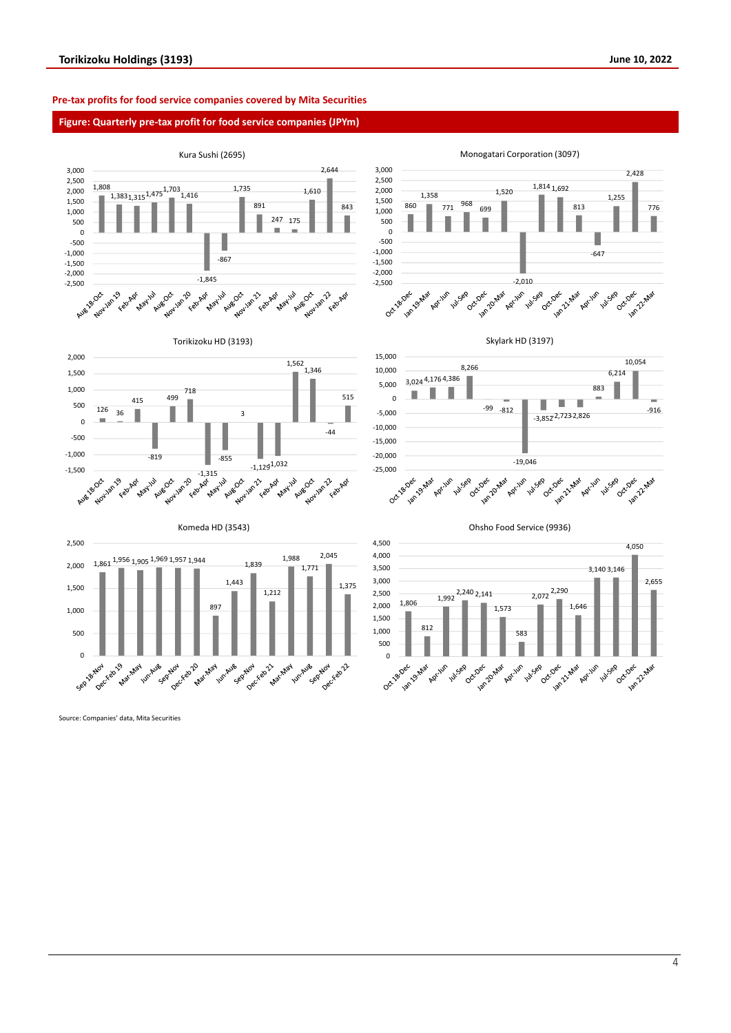# **Pre-tax profits for food service companies covered by Mita Securities**

# **Figure: Quarterly pre-tax profit for food service companies (JPYm)**

![](_page_3_Figure_4.jpeg)

Source: Companies' data, Mita Securities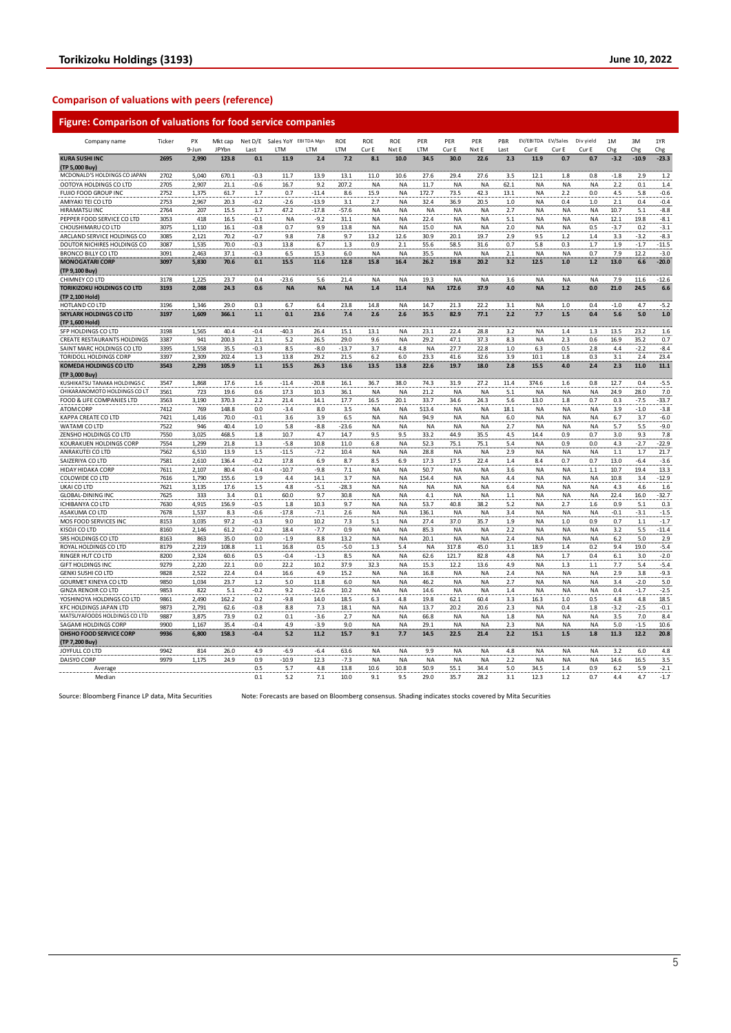# **Comparison of valuations with peers (reference)**

# **Figure: Comparison of valuations for food service companies**

| Company name                      | Ticker | PX    | Mkt cap |        |           | Net D/E Sales YoY EBITDA Mgn | <b>ROE</b> | ROE       | <b>ROE</b> | PER       | PER       | PER       | PBR     | EV/EBITDA EV/Sales |           | Div yield | 1M     | 3M      | 1YR     |
|-----------------------------------|--------|-------|---------|--------|-----------|------------------------------|------------|-----------|------------|-----------|-----------|-----------|---------|--------------------|-----------|-----------|--------|---------|---------|
|                                   |        | 9-Jun | JPYbn   | Last   | LTM       | LTM                          | LTM        | Cur E     | Nxt E      | LTM       | Cur E     | Nxt E     | Last    | Cur E              | Cur E     | Cur E     | Chg    | Chg     | Chg     |
| <b>KURA SUSHI INC</b>             | 2695   | 2,990 | 123.8   | 0.1    | 11.9      | 2.4                          | 7.2        | 8.1       | 10.0       | 34.5      | 30.0      | 22.6      | 2.3     | 11.9               | 0.7       | 0.7       | $-3.2$ | $-10.9$ | $-23.3$ |
| (TP 5,000 Buy)                    |        |       |         |        |           |                              |            |           |            |           |           |           |         |                    |           |           |        |         |         |
| MCDONALD'S HOLDINGS CO JAPAN      | 2702   | 5,040 | 670.1   | $-0.3$ | 11.7      | 13.9                         | 13.1       | 11.0      | 10.6       | 27.6      | 29.4      | 27.6      | 3.5     | 12.1               | 1.8       | 0.8       | $-1.8$ | 2.9     | 1.2     |
| OOTOYA HOLDINGS CO LTD            | 2705   | 2,907 | 21.1    | $-0.6$ | 16.7      | 9.2                          | 207.2      | NA        | NA         | 11.7      | <b>NA</b> | NA        | 62.1    | <b>NA</b>          | <b>NA</b> | <b>NA</b> | 2.2    | 0.1     | 1.4     |
| FUJIO FOOD GROUP INC              | 2752   | 1,375 | 61.7    | 1.7    | 0.7       | $-11.4$                      | 8.6        | 15.9      | NA         | 172.7     | 73.5      | 42.3      | 13.1    | <b>NA</b>          | 2.2       | 0.0       | 4.5    | 5.8     | $-0.6$  |
| AMIYAKI TEI CO LTD                | 2753   | 2,967 | 20.3    | $-0.2$ | $-2.6$    | $-13.9$                      | 3.1        | 2.7       | NA         | 32.4      | 36.9      | 20.5      | 1.0     | <b>NA</b>          | 0.4       | 1.0       | 2.1    | 0.4     | $-0.4$  |
| HIRAMATSU INC                     | 2764   | 207   | 15.5    | 1.7    | 47.2      | $-17.8$                      | -57.6      | NA        | ΝA         | <b>NA</b> | <b>NA</b> | NA        | 2.7     | <b>NA</b>          | <b>NA</b> | <b>NA</b> | 10.7   | 5.1     | $-8.8$  |
| PEPPER FOOD SERVICE CO LTD        | 3053   | 418   | 16.5    | $-0.1$ | NA        | $-9.2$                       | 31.1       | <b>NA</b> | NA         | 22.4      | <b>NA</b> | NA        | 5.1     | <b>NA</b>          | <b>NA</b> | <b>NA</b> | 12.1   | 19.8    | $-8.1$  |
| CHOUSHIMARU CO LTD                | 3075   | 1.110 | 16.1    | $-0.8$ | 0.7       | 9.9                          | 13.8       | <b>NA</b> | <b>NA</b>  | 15.0      | <b>NA</b> | <b>NA</b> | 2.0     | <b>NA</b>          | <b>NA</b> | 0.5       | $-3.7$ | 0.2     | $-3.1$  |
| ARCLAND SERVICE HOLDINGS CO       | 3085   | 2,121 | 70.2    | $-0.7$ | 9.8       | 7.8                          | 9.7        | 13.2      | 12.6       | 30.9      | 20.1      | 19.7      | 2.9     | 9.5                | 1.2       | 1.4       | 3.3    | $-3.2$  | $-8.3$  |
| DOUTOR NICHIRES HOLDINGS CO       | 3087   | 1,535 | 70.0    | $-0.3$ | 13.8      | 6.7                          | 1.3        | 0.9       | 2.1        | 55.6      | 58.5      | 31.6      | 0.7     | 5.8                | 0.3       | 1.7       | 1.9    | $-1.7$  | $-11.5$ |
| <b>BRONCO BILLY CO LTD</b>        | 3091   | 2.463 | 37.1    | $-0.3$ | 6.5       | 15.3                         | 6.0        | <b>NA</b> | <b>NA</b>  | 35.5      | <b>NA</b> | <b>NA</b> | 2.1     | <b>NA</b>          | <b>NA</b> | 0.7       | 7.9    | 12.2    | $-3.0$  |
| <b>MONOGATARI CORP</b>            | 3097   | 5,830 | 70.6    | 0.1    | 15.5      | 11.6                         | 12.8       | 15.8      | 16.4       | 26.2      | 19.8      | 20.2      | 3.2     | 12.5               | 1.0       | 1.2       | 13.0   | 6.6     | $-20.0$ |
| (TP 9,100 Buy)                    |        |       |         |        |           |                              |            |           |            |           |           |           |         |                    |           |           |        |         |         |
| CHIMNEY CO LTD                    | 3178   | 1.225 | 23.7    | 0.4    | $-23.6$   | 5.6                          | 21.4       | <b>NA</b> | NA         | 19.3      | <b>NA</b> | <b>NA</b> | 3.6     | <b>NA</b>          | <b>NA</b> | <b>NA</b> | 7.9    | 11.6    | $-12.6$ |
| <b>TORIKIZOKU HOLDINGS CO LTD</b> | 3193   | 2,088 | 24.3    | 0.6    | <b>NA</b> | <b>NA</b>                    | <b>NA</b>  | 1.4       | 11.4       | <b>NA</b> | 172.6     | 37.9      | 4.0     | <b>NA</b>          | $1.2$     | 0.0       | 21.0   | 24.5    | 6.6     |
| (TP 2,100 Hold)                   |        |       |         |        |           |                              |            |           |            |           |           |           |         |                    |           |           |        |         |         |
| HOTLAND CO LTD                    | 3196   | 1.346 | 29.0    | 0.3    | 6.7       | 6.4                          | 23.8       | 14.8      | <b>NA</b>  | 14.7      | 21.3      | 22.2      | 3.1     | <b>NA</b>          | 1.0       | 0.4       | $-1.0$ | 4.7     | $-5.2$  |
| <b>SKYLARK HOLDINGS CO LTD</b>    | 3197   | 1,609 | 366.1   | $1.1$  | 0.1       | 23.6                         | 7.4        | 2.6       | 2.6        | 35.5      | 82.9      | 77.1      | 2.2     | 7.7                | 1.5       | 0.4       | 5.6    | 5.0     | 1.0     |
| (TP 1,600 Hold)                   |        |       |         |        |           |                              |            |           |            |           |           |           |         |                    |           |           |        |         |         |
| SFP HOLDINGS CO LTD               | 3198   | 1,565 | 40.4    | $-0.4$ | $-40.3$   | 26.4                         | 15.1       | 13.1      | NA         | 23.1      | 22.4      | 28.8      | 3.2     | <b>NA</b>          | 1.4       | 1.3       | 13.5   | 23.2    | 1.6     |
| CREATE RESTAURANTS HOLDINGS       | 3387   | 941   | 200.3   | 2.1    | 5.2       | 26.5                         | 29.0       | 9.6       | ΝA         | 29.2      | 47.1      | 37.3      | 8.3     | <b>NA</b>          | 2.3       | 0.6       | 16.9   | 35.2    | 0.7     |
| SAINT MARC HOLDINGS CO LTD        | 3395   | 1,558 | 35.5    | $-0.3$ | 8.5       | $-8.0$                       | $-13.7$    | 3.7       | 4.8        | <b>NA</b> | 27.7      | 22.8      | 1.0     | 6.3                | 0.5       | 2.8       | 4.4    | $-2.2$  | $-8.4$  |
| TORIDOLL HOLDINGS CORP            | 3397   | 2,309 | 202.4   | 1.3    | 13.8      | 29.2                         | 21.5       | 6.2       | 6.0        | 23.3      | 41.6      | 32.6      | 3.9     | 10.1               | 1.8       | 0.3       | 3.1    | 2.4     | 23.4    |
| <b>KOMEDA HOLDINGS CO LTD</b>     | 3543   | 2,293 | 105.9   | $1.1$  | 15.5      | 26.3                         | 13.6       | 13.5      | 13.8       | 22.6      | 19.7      | 18.0      | 2.8     | 15.5               | 4.0       | 2.4       | 2.3    | 11.0    | 11.1    |
| (TP 3,000 Buy)                    |        |       |         |        |           |                              |            |           |            |           |           |           |         |                    |           |           |        |         |         |
| KUSHIKATSU TANAKA HOLDINGS C      | 3547   | 1,868 | 17.6    | 1.6    | $-11.4$   | $-20.8$                      | 16.1       | 36.7      | 38.0       | 74.3      | 31.9      | 27.2      | 11.4    | 374.6              | 1.6       | 0.8       | 12.7   | 0.4     | $-5.5$  |
| CHIKARANOMOTO HOLDINGS CO LT      | 3561   | 723   | 19.6    | 0.6    | 17.3      | 10.3                         | 36.1       | <b>NA</b> | <b>NA</b>  | 21.2      | <b>NA</b> | <b>NA</b> | 5.1     | <b>NA</b>          | <b>NA</b> | <b>NA</b> | 24.9   | 28.0    | 7.0     |
| FOOD & LIFE COMPANIES LTD         | 3563   | 3,190 | 370.3   | 2.2    | 21.4      | 14.1                         | 17.7       | 16.5      | 20.1       | 33.7      | 34.6      | 24.3      | 5.6     | 13.0               | 1.8       | 0.7       | 0.3    | $-7.5$  | $-33.7$ |
| <b>ATOM CORP</b>                  | 7412   | 769   | 148.8   | 0.0    | $-3.4$    | 8.0                          | 3.5        | NA        | ΝA         | 513.4     | <b>NA</b> | <b>NA</b> | 18.1    | <b>NA</b>          | <b>NA</b> | NA        | 3.9    | $-1.0$  | $-3.8$  |
| KAPPA CREATE CO LTD               | 7421   | 1,416 | 70.0    | $-0.1$ | 3.6       | 3.9                          | 6.5        | NA        | NA         | 94.9      | <b>NA</b> | NA        | 6.0     | <b>NA</b>          | <b>NA</b> | NA        | 6.7    | 3.7     | $-6.0$  |
| WATAMI CO LTD                     | 7522   | 946   | 40.4    | 1.0    | 5.8       | $-8.8$                       | $-23.6$    | NA        | NA         | <b>NA</b> | <b>NA</b> | NA        | 2.7     | <b>NA</b>          | <b>NA</b> | <b>NA</b> | 5.7    | 5.5     | $-9.0$  |
| ZENSHO HOLDINGS CO LTD            | 7550   | 3,025 | 468.5   | 1.8    | 10.7      | 4.7                          | 14.7       | 9.5       | 9.5        | 33.2      | 44.9      | 35.5      | 4.5     | 14.4               | 0.9       | 0.7       | 3.0    | 9.3     | 7.8     |
| KOURAKUEN HOLDINGS CORP           | 7554   | 1,299 | 21.8    | 1.3    | $-5.8$    | 10.8                         | 11.0       | 6.8       | NA         | 52.3      | 75.1      | 75.1      | 5.4     | <b>NA</b>          | 0.9       | 0.0       | 4.3    | $-2.7$  | $-22.9$ |
| ANRAKUTEI CO LTD                  | 7562   | 6,510 | 13.9    | 1.5    | $-11.5$   | $-7.2$                       | 10.4       | NA        | NA         | 28.8      | <b>NA</b> | NA        | 2.9     | <b>NA</b>          | <b>NA</b> | <b>NA</b> | 1.1    | 1.7     | 21.7    |
| SAIZERIYA CO LTD                  | 7581   | 2,610 | 136.4   | $-0.2$ | 17.8      | 6.9                          | 8.7        | 8.5       | 6.9        | 17.3      | 17.5      | 22.4      | 1.4     | 8.4                | 0.7       | 0.7       | 13.0   | $-6.4$  | $-3.6$  |
| HIDAY HIDAKA CORP                 | 7611   | 2,107 | 80.4    | $-0.4$ | $-10.7$   | $-9.8$                       | 7.1        | <b>NA</b> | <b>NA</b>  | 50.7      | <b>NA</b> | <b>NA</b> | 3.6     | <b>NA</b>          | <b>NA</b> | 1.1       | 10.7   | 19.4    | 13.3    |
| COLOWIDE CO LTD                   | 7616   | 1,790 | 155.6   | 1.9    | 4.4       | 14.1                         | 3.7        | NA        | NA         | 154.4     | <b>NA</b> | NA        | 4.4     | <b>NA</b>          | <b>NA</b> | <b>NA</b> | 10.8   | 3.4     | $-12.9$ |
| UKAI CO LTD                       | 7621   | 3,135 | 17.6    | 1.5    | 4.8       | $-5.1$                       | $-28.3$    | <b>NA</b> | ΝA         | <b>NA</b> | <b>NA</b> | <b>NA</b> | 6.4     | <b>NA</b>          | <b>NA</b> | <b>NA</b> | 4.3    | 4.6     | 1.6     |
| <b>GLOBAL-DINING INC</b>          | 7625   | 333   | 3.4     | 0.1    | 60.0      | 9.7                          | 30.8       | NA        | <b>NA</b>  | 4.1       | <b>NA</b> | <b>NA</b> | $1.1\,$ | <b>NA</b>          | <b>NA</b> | <b>NA</b> | 22.4   | 16.0    | $-32.7$ |
| <b>ICHIBANYA CO LTD</b>           | 7630   | 4,915 | 156.9   | $-0.5$ | 1.8       | 10.3                         | 9.7        | NA        | NA         | 53.7      | 40.8      | 38.2      | 5.2     | <b>NA</b>          | 2.7       | 1.6       | 0.9    | 5.1     | 0.3     |
| ASAKUMA CO LTD                    | 7678   | 1,537 | 8.3     | $-0.6$ | $-17.8$   | $-7.1$                       | 2.6        | NA        | ΝA         | 136.1     | <b>NA</b> | NA        | 3.4     | <b>NA</b>          | <b>NA</b> | <b>NA</b> | $-0.1$ | $-3.1$  | $-1.5$  |
| MOS FOOD SERVICES INC             | 8153   | 3.035 | 97.2    | $-0.3$ | 9.0       | 10.2                         | 7.3        | 5.1       | <b>NA</b>  | 27.4      | 37.0      | 35.7      | 1.9     | <b>NA</b>          | 1.0       | 0.9       | 0.7    | 1.1     | $-1.7$  |
| KISOJI CO LTD                     | 8160   | 2,146 | 61.2    | $-0.2$ | 18.4      | $-7.7$                       | 0.9        | <b>NA</b> | NA         | 85.3      | <b>NA</b> | NA        | 2.2     | <b>NA</b>          | <b>NA</b> | <b>NA</b> | 3.2    | 5.5     | $-11.4$ |
| SRS HOLDINGS CO LTD               | 8163   | 863   | 35.0    | 0.0    | $-1.9$    | 8.8                          | 13.2       | <b>NA</b> | ΝA         | 20.1      | <b>NA</b> | <b>NA</b> | 2.4     | <b>NA</b>          | <b>NA</b> | <b>NA</b> | 6.2    | 5.0     | 2.9     |
| ROYAL HOLDINGS CO LTD             | 8179   | 2,219 | 108.8   | $1.1$  | 16.8      | 0.5                          | -5.0       | 1.3       | $5.4$      | <b>NA</b> | 317.8     | 45.0      | 3.1     | 18.9               | 1.4       | 0.2       | 9.4    | 19.0    | $-5.4$  |
| RINGER HUT CO LTD                 | 8200   | 2,324 | 60.6    | 0.5    | $-0.4$    | $-1.3$                       | 8.5        | NA        | NA         | 62.6      | 121.7     | 82.8      | 4.8     | <b>NA</b>          | 1.7       | 0.4       | 6.1    | 3.0     | $-2.0$  |
| GIFT HOLDINGS INC                 | 9279   | 2,220 | 22.1    | 0.0    | 22.2      | 10.2                         | 37.9       | 32.3      | ΝA         | 15.3      | 12.2      | 13.6      | 4.9     | <b>NA</b>          | 1.3       | 1.1       | 7.7    | $5.4\,$ | $-5.4$  |
| <b>GENKI SUSHI CO LTD</b>         | 9828   | 2,522 | 22.4    | 0.4    | 16.6      | 4.9                          | 15.2       | <b>NA</b> | NA         | 16.8      | <b>NA</b> | NA        | 2.4     | <b>NA</b>          | <b>NA</b> | NA        | 2.9    | 3.8     | $-9.3$  |
| <b>GOURMET KINEYA CO LTD</b>      | 9850   | 1,034 | 23.7    | 1.2    | 5.0       | 11.8                         | 6.0        | NA        | NA         | 46.2      | <b>NA</b> | NA        | 2.7     | <b>NA</b>          | <b>NA</b> | NA        | 3.4    | $-2.0$  | 5.0     |
| <b>GINZA RENOIR CO LTD</b>        | 9853   | 822   | 5.1     | $-0.2$ | 9.2       | $-12.6$                      | 10.2       | NA        | ΝA         | 14.6      | <b>NA</b> | NA        | 1.4     | <b>NA</b>          | <b>NA</b> | NA        | 0.4    | $-1.7$  | $-2.5$  |
| YOSHINOYA HOLDINGS CO LTD         | 9861   | 2,490 | 162.2   | 0.2    | $-9.8$    | 14.0                         | 18.5       | 6.3       | 4.8        | 19.8      | 62.1      | 60.4      | 3.3     | 16.3               | 1.0       | 0.5       | 4.8    | 4.8     | 18.5    |
| KFC HOLDINGS JAPAN LTD            | 9873   | 2,791 | 62.6    | $-0.8$ | 8.8       | 7.3                          | 18.1       | NA        | NA         | 13.7      | 20.2      | 20.6      | 2.3     | <b>NA</b>          | 0.4       | 1.8       | $-3.2$ | $-2.5$  | $-0.1$  |
| MATSUYAFOODS HOLDINGS CO LTD      | 9887   | 3,875 | 73.9    | 0.2    | 0.1       | -3.6                         | 2.7        | NA        | NA         | 66.8      | <b>NA</b> | <b>NA</b> | 1.8     | <b>NA</b>          | <b>NA</b> | <b>NA</b> | 3.5    | 7.0     | 8.4     |
| SAGAMI HOLDINGS CORP              | 9900   | 1,167 | 35.4    | $-0.4$ | 4.9       | $-3.9$                       | 9.0        | NA        | NA         | 29.1      | <b>NA</b> | NA        | 2.3     | <b>NA</b>          | <b>NA</b> | <b>NA</b> | 5.0    | $-1.5$  | 10.6    |
| OHSHO FOOD SERVICE CORP           | 9936   | 6,800 | 158.3   | $-0.4$ | 5.2       | 11.2                         | 15.7       | 9.1       | 7.7        | 14.5      | 22.5      | 21.4      | 2.2     | 15.1               | 1.5       | 1.8       | 11.3   | 12.2    | 20.8    |
| (TP 7,200 Buy)                    |        |       |         |        |           |                              |            |           |            |           |           |           |         |                    |           |           |        |         |         |
| JOYFULL CO LTD                    | 9942   | 814   | 26.0    | 4.9    | $-6.9$    | $-6.4$                       | 63.6       | NA        | NA         | 9.9       | <b>NA</b> | NA        | 4.8     | <b>NA</b>          | <b>NA</b> | NA        | 3.2    | 6.0     | 4.8     |
| DAISYO CORP                       | 9979   | 1,175 | 24.9    | 0.9    | $-10.9$   | 12.3                         | $-7.3$     | <b>NA</b> | <b>NA</b>  | <b>NA</b> | <b>NA</b> | <b>NA</b> | 2.2     | <b>NA</b>          | <b>NA</b> | <b>NA</b> | 14.6   | 16.5    | 3.5     |
| Average                           |        |       |         | 0.5    | 5.7       | 4.8                          | 13.8       | 10.6      | 10.8       | 50.9      | 55.1      | 34.4      | 5.0     | 34.5               | 1.4       | 0.9       | 6.2    | 5.9     | $-2.1$  |
| Median                            |        |       |         | 0.1    | 5.2       | 7.1                          | 10.0       | 9.1       | 9.5        | 29.0      | 35.7      | 28.2      | 3.1     | 12.3               | 1.2       | 0.7       | 4.4    | 4.7     | $-1.7$  |

Source: Bloomberg Finance LP data, Mita Securities Note: Forecasts are based on Bloomberg consensus. Shading indicates stocks covered by Mita Securities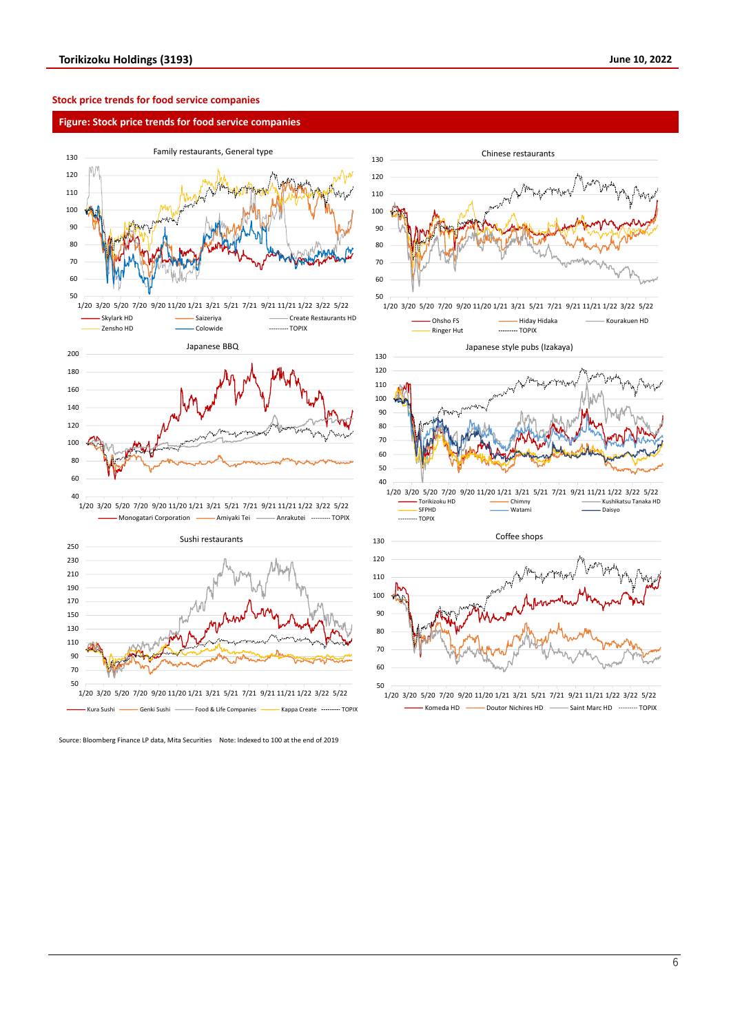# **Stock price trends for food service companies**

# **Figure: Stock price trends for food service companies**

![](_page_5_Figure_4.jpeg)

![](_page_5_Figure_5.jpeg)

Source: Bloomberg Finance LP data, Mita Securities Note: Indexed to 100 at the end of 2019

![](_page_5_Figure_7.jpeg)

<sup>1/20</sup> 3/20 5/20 7/20 9/20 11/20 1/21 3/21 5/21 7/21 9/21 11/21 1/22 3/22 5/22 Komeda HD **- Doutor Nichires HD** - Saint Marc HD - Saint More TOPIX